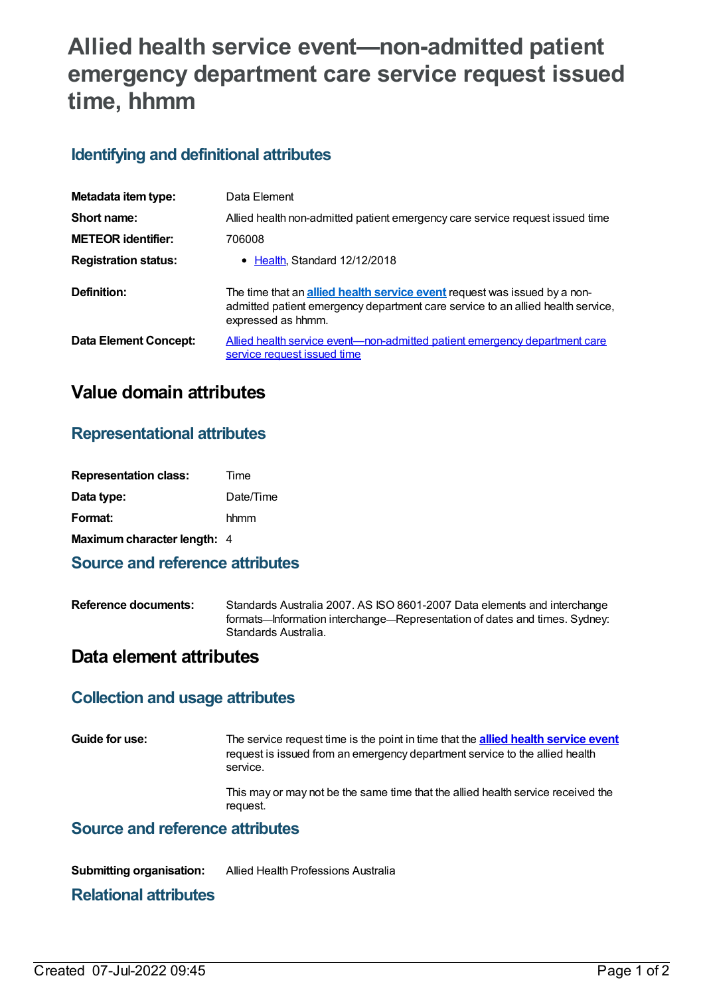# **Allied health service event—non-admitted patient emergency department care service request issued time, hhmm**

## **Identifying and definitional attributes**

| Metadata item type:          | Data Element                                                                                                                                                                              |
|------------------------------|-------------------------------------------------------------------------------------------------------------------------------------------------------------------------------------------|
| Short name:                  | Allied health non-admitted patient emergency care service request issued time                                                                                                             |
| <b>METEOR identifier:</b>    | 706008                                                                                                                                                                                    |
| <b>Registration status:</b>  | • Health, Standard 12/12/2018                                                                                                                                                             |
| Definition:                  | The time that an <b>allied health service event</b> request was issued by a non-<br>admitted patient emergency department care service to an allied health service,<br>expressed as hhmm. |
| <b>Data Element Concept:</b> | Allied health service event—non-admitted patient emergency department care<br>service request issued time                                                                                 |

# **Value domain attributes**

## **Representational attributes**

| <b>Representation class:</b> | Time      |
|------------------------------|-----------|
| Data type:                   | Date/Time |
| Format:                      | hhmm      |
| Maximum character length: 4  |           |

#### **Source and reference attributes**

**Reference documents:** Standards Australia 2007. AS ISO 8601-2007 Data elements and interchange formats—Information interchange—Representation of dates and times. Sydney: Standards Australia.

## **Data element attributes**

#### **Collection and usage attributes**

**Guide for use:** The service request time is the point in time that the **allied health [service](https://meteor.aihw.gov.au/content/705578) event** request is issued from an emergency department service to the allied health service.

> This may or may not be the same time that the allied health service received the request.

#### **Source and reference attributes**

**Submitting organisation:** Allied Health Professions Australia

#### **Relational attributes**